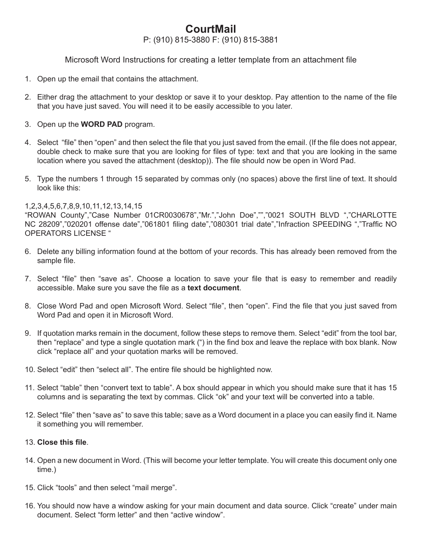## **CourtMail**

P: (910) 815-3880 F: (910) 815-3881

Microsoft Word Instructions for creating a letter template from an attachment file

- 1. Open up the email that contains the attachment.
- 2. Either drag the attachment to your desktop or save it to your desktop. Pay attention to the name of the file that you have just saved. You will need it to be easily accessible to you later.
- 3. Open up the **WORD PAD** program.
- 4. Select "file" then "open" and then select the file that you just saved from the email. (If the file does not appear, double check to make sure that you are looking for files of type: text and that you are looking in the same location where you saved the attachment (desktop)). The file should now be open in Word Pad.
- 5. Type the numbers 1 through 15 separated by commas only (no spaces) above the first line of text. It should look like this:

## 1,2,3,4,5,6,7,8,9,10,11,12,13,14,15

"ROWAN County","Case Number 01CR0030678","Mr.","John Doe","","0021 SOUTH BLVD ","CHARLOTTE NC 28209","020201 offense date","061801 filing date","080301 trial date","Infraction SPEEDING ","Traffic NO OPERATORS LICENSE "

- 6. Delete any billing information found at the bottom of your records. This has already been removed from the sample file.
- 7. Select "file" then "save as". Choose a location to save your file that is easy to remember and readily accessible. Make sure you save the file as a text document.
- 8. Close Word Pad and open Microsoft Word. Select "file", then "open". Find the file that you just saved from Word Pad and open it in Microsoft Word.
- 9. If quotation marks remain in the document, follow these steps to remove them. Select "edit" from the tool bar, then "replace" and type a single quotation mark (") in the find box and leave the replace with box blank. Now click "replace all" and your quotation marks will be removed.
- 10. Select "edit" then "select all". The entire file should be highlighted now.
- 11. Select "table" then "convert text to table". A box should appear in which you should make sure that it has 15 columns and is separating the text by commas. Click "ok" and your text will be converted into a table.
- 12. Select "file" then "save as" to save this table; save as a Word document in a place you can easily find it. Name it something you will remember.

## 13. Close this file.

- 14. Open a new document in Word. (This will become your letter template. You will create this document only one time.)
- 15. Click "tools" and then select "mail merge".
- 16. You should now have a window asking for your main document and data source. Click "create" under main document. Select "form letter" and then "active window".